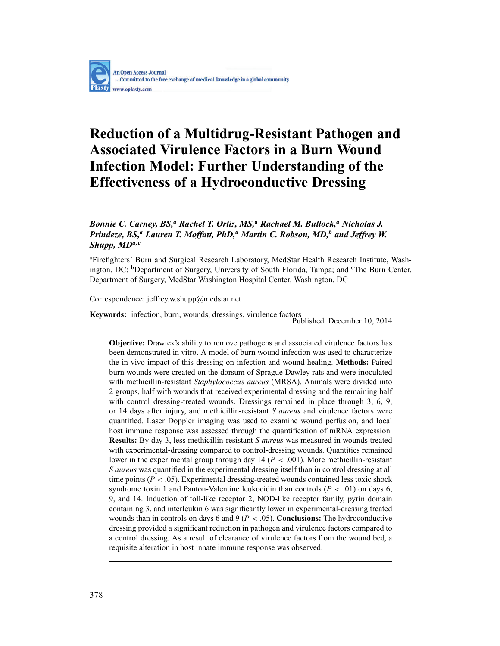# **Reduction of a Multidrug-Resistant Pathogen and Associated Virulence Factors in a Burn Wound Infection Model: Further Understanding of the Effectiveness of a Hydroconductive Dressing**

# *Bonnie C. Carney, BS,<sup>a</sup> Rachel T. Ortiz, MS,<sup>a</sup> Rachael M. Bullock,<sup>a</sup> Nicholas J. Prindeze, BS,<sup><i>a*</sup> *Lauren T. Moffatt, PhD,<sup><i>a*</sup> *Martin C. Robson, MD*,<sup>*b</sup> and Jeffrey W.*</sup> *Shupp, MDa,c*

<sup>a</sup>Firefighters' Burn and Surgical Research Laboratory, MedStar Health Research Institute, Washington, DC; <sup>b</sup>Department of Surgery, University of South Florida, Tampa; and <sup>c</sup>The Burn Center, Department of Surgery, MedStar Washington Hospital Center, Washington, DC

Correspondence: jeffrey.w.shupp@medstar.net

**Keywords:** infection, burn, wounds, dressings, virulence factors<br>Published December 10, 2014

**Objective:** Drawtex's ability to remove pathogens and associated virulence factors has been demonstrated in vitro. A model of burn wound infection was used to characterize the in vivo impact of this dressing on infection and wound healing. **Methods:** Paired burn wounds were created on the dorsum of Sprague Dawley rats and were inoculated with methicillin-resistant *Staphylococcus aureus* (MRSA). Animals were divided into 2 groups, half with wounds that received experimental dressing and the remaining half with control dressing-treated wounds. Dressings remained in place through 3, 6, 9, or 14 days after injury, and methicillin-resistant *S aureus* and virulence factors were quantified. Laser Doppler imaging was used to examine wound perfusion, and local host immune response was assessed through the quantification of mRNA expression. **Results:** By day 3, less methicillin-resistant *S aureus* was measured in wounds treated with experimental-dressing compared to control-dressing wounds. Quantities remained lower in the experimental group through day  $14 (P < .001)$ . More methicillin-resistant *S aureus* was quantified in the experimental dressing itself than in control dressing at all time points ( $P < .05$ ). Experimental dressing-treated wounds contained less toxic shock syndrome toxin 1 and Panton-Valentine leukocidin than controls  $(P < .01)$  on days 6, 9, and 14. Induction of toll-like receptor 2, NOD-like receptor family, pyrin domain containing 3, and interleukin 6 was significantly lower in experimental-dressing treated wounds than in controls on days 6 and 9 (*P* < .05). **Conclusions:** The hydroconductive dressing provided a significant reduction in pathogen and virulence factors compared to a control dressing. As a result of clearance of virulence factors from the wound bed, a requisite alteration in host innate immune response was observed.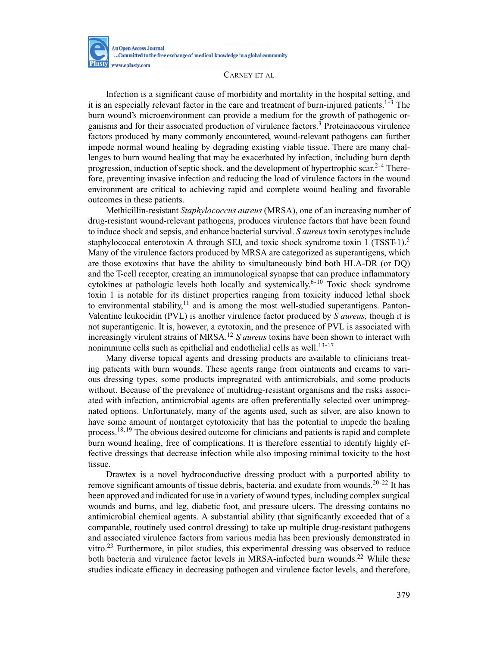

Infection is a significant cause of morbidity and mortality in the hospital setting, and it is an especially relevant factor in the care and treatment of burn-injured patients.<sup>1-3</sup> The burn wound's microenvironment can provide a medium for the growth of pathogenic organisms and for their associated production of virulence factors.<sup>3</sup> Proteinaceous virulence factors produced by many commonly encountered, wound-relevant pathogens can further impede normal wound healing by degrading existing viable tissue. There are many challenges to burn wound healing that may be exacerbated by infection, including burn depth progression, induction of septic shock, and the development of hypertrophic scar.<sup>2-4</sup> Therefore, preventing invasive infection and reducing the load of virulence factors in the wound environment are critical to achieving rapid and complete wound healing and favorable outcomes in these patients.

Methicillin-resistant *Staphylococcus aureus* (MRSA), one of an increasing number of drug-resistant wound-relevant pathogens, produces virulence factors that have been found to induce shock and sepsis, and enhance bacterial survival. *S aureus* toxin serotypes include staphylococcal enterotoxin A through SEJ, and toxic shock syndrome toxin 1 (TSST-1).<sup>5</sup> Many of the virulence factors produced by MRSA are categorized as superantigens, which are those exotoxins that have the ability to simultaneously bind both HLA-DR (or DQ) and the T-cell receptor, creating an immunological synapse that can produce inflammatory cytokines at pathologic levels both locally and systemically.<sup>6-10</sup> Toxic shock syndrome toxin 1 is notable for its distinct properties ranging from toxicity induced lethal shock to environmental stability, $11$  and is among the most well-studied superantigens. Panton-Valentine leukocidin (PVL) is another virulence factor produced by *S aureus,* though it is not superantigenic. It is, however, a cytotoxin, and the presence of PVL is associated with increasingly virulent strains of MRSA.<sup>12</sup> *S aureus* toxins have been shown to interact with nonimmune cells such as epithelial and endothelial cells as well.<sup>13-17</sup>

Many diverse topical agents and dressing products are available to clinicians treating patients with burn wounds. These agents range from ointments and creams to various dressing types, some products impregnated with antimicrobials, and some products without. Because of the prevalence of multidrug-resistant organisms and the risks associated with infection, antimicrobial agents are often preferentially selected over unimpregnated options. Unfortunately, many of the agents used, such as silver, are also known to have some amount of nontarget cytotoxicity that has the potential to impede the healing process.<sup>18,19</sup> The obvious desired outcome for clinicians and patients is rapid and complete burn wound healing, free of complications. It is therefore essential to identify highly effective dressings that decrease infection while also imposing minimal toxicity to the host tissue.

Drawtex is a novel hydroconductive dressing product with a purported ability to remove significant amounts of tissue debris, bacteria, and exudate from wounds.<sup>20-22</sup> It has been approved and indicated for use in a variety of wound types, including complex surgical wounds and burns, and leg, diabetic foot, and pressure ulcers. The dressing contains no antimicrobial chemical agents. A substantial ability (that significantly exceeded that of a comparable, routinely used control dressing) to take up multiple drug-resistant pathogens and associated virulence factors from various media has been previously demonstrated in vitro.<sup>23</sup> Furthermore, in pilot studies, this experimental dressing was observed to reduce both bacteria and virulence factor levels in MRSA-infected burn wounds.<sup>22</sup> While these studies indicate efficacy in decreasing pathogen and virulence factor levels, and therefore,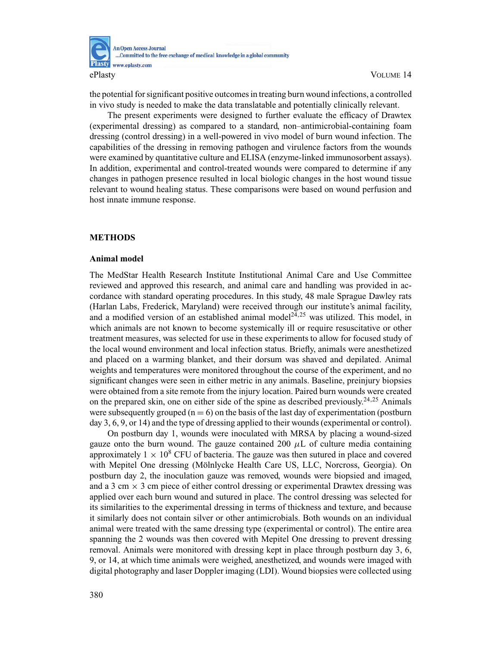

the potential for significant positive outcomes in treating burn wound infections, a controlled in vivo study is needed to make the data translatable and potentially clinically relevant.

The present experiments were designed to further evaluate the efficacy of Drawtex (experimental dressing) as compared to a standard, non–antimicrobial-containing foam dressing (control dressing) in a well-powered in vivo model of burn wound infection. The capabilities of the dressing in removing pathogen and virulence factors from the wounds were examined by quantitative culture and ELISA (enzyme-linked immunosorbent assays). In addition, experimental and control-treated wounds were compared to determine if any changes in pathogen presence resulted in local biologic changes in the host wound tissue relevant to wound healing status. These comparisons were based on wound perfusion and host innate immune response.

## **METHODS**

## **Animal model**

The MedStar Health Research Institute Institutional Animal Care and Use Committee reviewed and approved this research, and animal care and handling was provided in accordance with standard operating procedures. In this study, 48 male Sprague Dawley rats (Harlan Labs, Frederick, Maryland) were received through our institute's animal facility, and a modified version of an established animal model<sup>24,25</sup> was utilized. This model, in which animals are not known to become systemically ill or require resuscitative or other treatment measures, was selected for use in these experiments to allow for focused study of the local wound environment and local infection status. Briefly, animals were anesthetized and placed on a warming blanket, and their dorsum was shaved and depilated. Animal weights and temperatures were monitored throughout the course of the experiment, and no significant changes were seen in either metric in any animals. Baseline, preinjury biopsies were obtained from a site remote from the injury location. Paired burn wounds were created on the prepared skin, one on either side of the spine as described previously.<sup>24,25</sup> Animals were subsequently grouped ( $n = 6$ ) on the basis of the last day of experimentation (postburn day 3, 6, 9, or 14) and the type of dressing applied to their wounds (experimental or control).

On postburn day 1, wounds were inoculated with MRSA by placing a wound-sized gauze onto the burn wound. The gauze contained 200  $\mu$ L of culture media containing approximately  $1 \times 10^8$  CFU of bacteria. The gauze was then sutured in place and covered with Mepitel One dressing (Mölnlycke Health Care US, LLC, Norcross, Georgia). On postburn day 2, the inoculation gauze was removed, wounds were biopsied and imaged, and a 3 cm  $\times$  3 cm piece of either control dressing or experimental Drawtex dressing was applied over each burn wound and sutured in place. The control dressing was selected for its similarities to the experimental dressing in terms of thickness and texture, and because it similarly does not contain silver or other antimicrobials. Both wounds on an individual animal were treated with the same dressing type (experimental or control). The entire area spanning the 2 wounds was then covered with Mepitel One dressing to prevent dressing removal. Animals were monitored with dressing kept in place through postburn day 3, 6, 9, or 14, at which time animals were weighed, anesthetized, and wounds were imaged with digital photography and laser Doppler imaging (LDI). Wound biopsies were collected using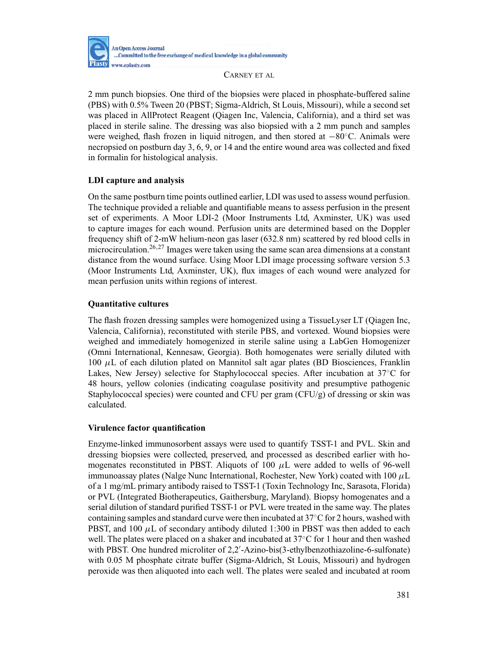

2 mm punch biopsies. One third of the biopsies were placed in phosphate-buffered saline (PBS) with 0.5% Tween 20 (PBST; Sigma-Aldrich, St Louis, Missouri), while a second set was placed in AllProtect Reagent (Qiagen Inc, Valencia, California), and a third set was placed in sterile saline. The dressing was also biopsied with a 2 mm punch and samples were weighed, flash frozen in liquid nitrogen, and then stored at −80◦C. Animals were necropsied on postburn day 3, 6, 9, or 14 and the entire wound area was collected and fixed in formalin for histological analysis.

# **LDI capture and analysis**

On the same postburn time points outlined earlier, LDI was used to assess wound perfusion. The technique provided a reliable and quantifiable means to assess perfusion in the present set of experiments. A Moor LDI-2 (Moor Instruments Ltd, Axminster, UK) was used to capture images for each wound. Perfusion units are determined based on the Doppler frequency shift of 2-mW helium-neon gas laser (632.8 nm) scattered by red blood cells in microcirculation.26,27 Images were taken using the same scan area dimensions at a constant distance from the wound surface. Using Moor LDI image processing software version 5.3 (Moor Instruments Ltd, Axminster, UK), flux images of each wound were analyzed for mean perfusion units within regions of interest.

## **Quantitative cultures**

The flash frozen dressing samples were homogenized using a TissueLyser LT (Qiagen Inc, Valencia, California), reconstituted with sterile PBS, and vortexed. Wound biopsies were weighed and immediately homogenized in sterile saline using a LabGen Homogenizer (Omni International, Kennesaw, Georgia). Both homogenates were serially diluted with 100  $μ$ L of each dilution plated on Mannitol salt agar plates (BD Biosciences, Franklin Lakes, New Jersey) selective for Staphylococcal species. After incubation at 37◦C for 48 hours, yellow colonies (indicating coagulase positivity and presumptive pathogenic Staphylococcal species) were counted and CFU per gram  $(CFU/g)$  of dressing or skin was calculated.

## **Virulence factor quantification**

Enzyme-linked immunosorbent assays were used to quantify TSST-1 and PVL. Skin and dressing biopsies were collected, preserved, and processed as described earlier with homogenates reconstituted in PBST. Aliquots of 100  $\mu$ L were added to wells of 96-well immunoassay plates (Nalge Nunc International, Rochester, New York) coated with 100  $\mu$ L of a 1 mg/mL primary antibody raised to TSST-1 (Toxin Technology Inc, Sarasota, Florida) or PVL (Integrated Biotherapeutics, Gaithersburg, Maryland). Biopsy homogenates and a serial dilution of standard purified TSST-1 or PVL were treated in the same way. The plates containing samples and standard curve were then incubated at  $37^{\circ}$ C for 2 hours, washed with PBST, and 100  $\mu$ L of secondary antibody diluted 1:300 in PBST was then added to each well. The plates were placed on a shaker and incubated at 37◦C for 1 hour and then washed with PBST. One hundred microliter of 2,2'-Azino-bis(3-ethylbenzothiazoline-6-sulfonate) with 0.05 M phosphate citrate buffer (Sigma-Aldrich, St Louis, Missouri) and hydrogen peroxide was then aliquoted into each well. The plates were sealed and incubated at room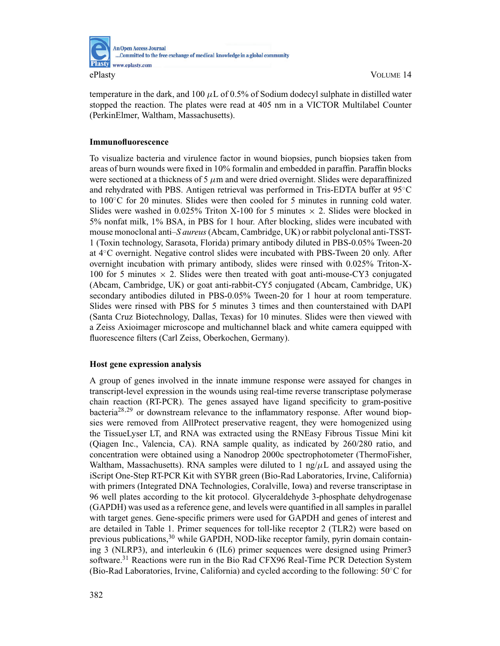

temperature in the dark, and 100  $\mu$ L of 0.5% of Sodium dodecyl sulphate in distilled water stopped the reaction. The plates were read at 405 nm in a VICTOR Multilabel Counter (PerkinElmer, Waltham, Massachusetts).

# **Immunofluorescence**

To visualize bacteria and virulence factor in wound biopsies, punch biopsies taken from areas of burn wounds were fixed in 10% formalin and embedded in paraffin. Paraffin blocks were sectioned at a thickness of 5  $\mu$ m and were dried overnight. Slides were deparaffinized and rehydrated with PBS. Antigen retrieval was performed in Tris-EDTA buffer at 95◦C to 100◦C for 20 minutes. Slides were then cooled for 5 minutes in running cold water. Slides were washed in  $0.025\%$  Triton X-100 for 5 minutes  $\times$  2. Slides were blocked in 5% nonfat milk, 1% BSA, in PBS for 1 hour. After blocking, slides were incubated with mouse monoclonal anti–*S aureus*(Abcam, Cambridge, UK) or rabbit polyclonal anti-TSST-1 (Toxin technology, Sarasota, Florida) primary antibody diluted in PBS-0.05% Tween-20 at 4◦C overnight. Negative control slides were incubated with PBS-Tween 20 only. After overnight incubation with primary antibody, slides were rinsed with 0.025% Triton-X-100 for 5 minutes  $\times$  2. Slides were then treated with goat anti-mouse-CY3 conjugated (Abcam, Cambridge, UK) or goat anti-rabbit-CY5 conjugated (Abcam, Cambridge, UK) secondary antibodies diluted in PBS-0.05% Tween-20 for 1 hour at room temperature. Slides were rinsed with PBS for 5 minutes 3 times and then counterstained with DAPI (Santa Cruz Biotechnology, Dallas, Texas) for 10 minutes. Slides were then viewed with a Zeiss Axioimager microscope and multichannel black and white camera equipped with fluorescence filters (Carl Zeiss, Oberkochen, Germany).

# **Host gene expression analysis**

A group of genes involved in the innate immune response were assayed for changes in transcript-level expression in the wounds using real-time reverse transcriptase polymerase chain reaction (RT-PCR). The genes assayed have ligand specificity to gram-positive bacteria<sup>28,29</sup> or downstream relevance to the inflammatory response. After wound biopsies were removed from AllProtect preservative reagent, they were homogenized using the TissueLyser LT, and RNA was extracted using the RNEasy Fibrous Tissue Mini kit (Qiagen Inc., Valencia, CA). RNA sample quality, as indicated by 260/280 ratio, and concentration were obtained using a Nanodrop 2000c spectrophotometer (ThermoFisher, Waltham, Massachusetts). RNA samples were diluted to 1 ng/ $\mu$ L and assayed using the iScript One-Step RT-PCR Kit with SYBR green (Bio-Rad Laboratories, Irvine, California) with primers (Integrated DNA Technologies, Coralville, Iowa) and reverse transcriptase in 96 well plates according to the kit protocol. Glyceraldehyde 3-phosphate dehydrogenase (GAPDH) was used as a reference gene, and levels were quantified in all samples in parallel with target genes. Gene-specific primers were used for GAPDH and genes of interest and are detailed in Table 1. Primer sequences for toll-like receptor 2 (TLR2) were based on previous publications,<sup>30</sup> while GAPDH, NOD-like receptor family, pyrin domain containing 3 (NLRP3), and interleukin 6 (IL6) primer sequences were designed using Primer3 software.<sup>31</sup> Reactions were run in the Bio Rad CFX96 Real-Time PCR Detection System (Bio-Rad Laboratories, Irvine, California) and cycled according to the following: 50◦C for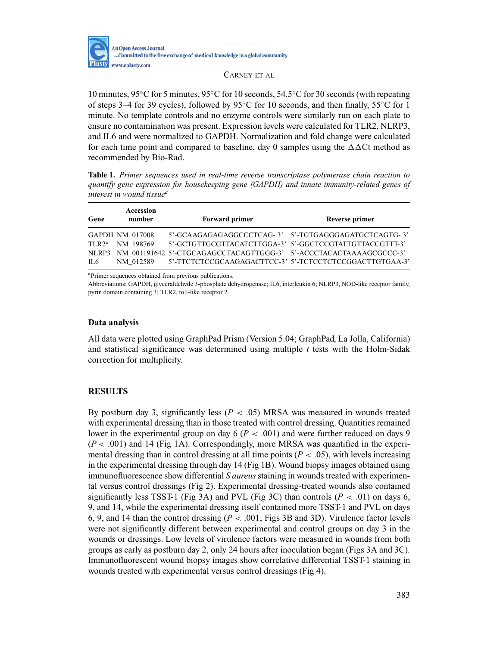

10 minutes, 95◦C for 5 minutes, 95◦C for 10 seconds, 54.5◦C for 30 seconds (with repeating of steps 3–4 for 39 cycles), followed by 95 $\degree$ C for 10 seconds, and then finally, 55 $\degree$ C for 1 minute. No template controls and no enzyme controls were similarly run on each plate to ensure no contamination was present. Expression levels were calculated for TLR2, NLRP3, and IL6 and were normalized to GAPDH. Normalization and fold change were calculated for each time point and compared to baseline, day 0 samples using the  $\Delta\Delta$ Ct method as recommended by Bio-Rad.

**Table 1.** *Primer sequences used in real-time reverse transcriptase polymerase chain reaction to quantify gene expression for housekeeping gene (GAPDH) and innate immunity-related genes of interest in wound tissuea*

| Gene     | Accession<br>number | <b>Forward primer</b>                                                    | Reverse primer                                          |
|----------|---------------------|--------------------------------------------------------------------------|---------------------------------------------------------|
|          | GAPDH NM 017008     | 5'-GCAAGAGAGAGGCCCTCAG-3' 5'-TGTGAGGGAGATGCTCAGTG-3'                     |                                                         |
| $TLR2^a$ | NM 198769           | 5'-GCTGTTGCGTTACATCTTGGA-3' 5'-GGCTCCGTATTGTTACCGTTT-3'                  |                                                         |
|          |                     | NLRP3 NM 001191642 5'-CTGCAGAGCCTACAGTTGGG-3' 5'-ACCCTACACTAAAAGCGCCC-3' |                                                         |
| IL6      | NM 012589           |                                                                          | 5'-TTCTCTCCGCAAGAGACTTCC-3' 5'-TCTCCTCTCCGGACTTGTGAA-3' |

aPrimer sequences obtained from previous publications.

Abbreviations: GAPDH, glyceraldehyde 3-phosphate dehydrogenase; IL6, interleukin 6; NLRP3, NOD-like receptor family, pyrin domain containing 3; TLR2, toll-like receptor 2.

## **Data analysis**

All data were plotted using GraphPad Prism (Version 5.04; GraphPad, La Jolla, California) and statistical significance was determined using multiple *t* tests with the Holm-Sidak correction for multiplicity.

# **RESULTS**

By postburn day 3, significantly less  $(P < .05)$  MRSA was measured in wounds treated with experimental dressing than in those treated with control dressing. Quantities remained lower in the experimental group on day  $6 (P < .001)$  and were further reduced on days 9  $(P < .001)$  and 14 (Fig 1A). Correspondingly, more MRSA was quantified in the experimental dressing than in control dressing at all time points  $(P < .05)$ , with levels increasing in the experimental dressing through day 14 (Fig 1B). Wound biopsy images obtained using immunofluorescence show differential *S aureus*staining in wounds treated with experimental versus control dressings (Fig 2). Experimental dressing-treated wounds also contained significantly less TSST-1 (Fig 3A) and PVL (Fig 3C) than controls ( $P < .01$ ) on days 6, 9, and 14, while the experimental dressing itself contained more TSST-1 and PVL on days 6, 9, and 14 than the control dressing  $(P < .001$ ; Figs 3B and 3D). Virulence factor levels were not significantly different between experimental and control groups on day 3 in the wounds or dressings. Low levels of virulence factors were measured in wounds from both groups as early as postburn day 2, only 24 hours after inoculation began (Figs 3A and 3C). Immunofluorescent wound biopsy images show correlative differential TSST-1 staining in wounds treated with experimental versus control dressings (Fig 4).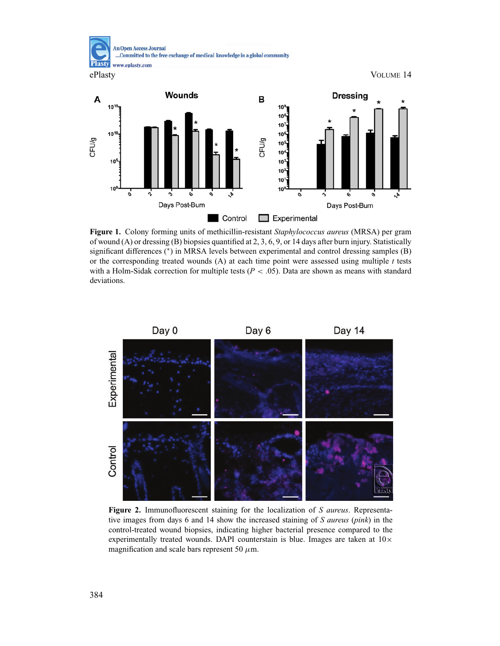

**Figure 1.** Colony forming units of methicillin-resistant *Staphylococcus aureus* (MRSA) per gram of wound (A) or dressing (B) biopsies quantified at 2, 3, 6, 9, or 14 days after burn injury. Statistically significant differences (\*) in MRSA levels between experimental and control dressing samples (B) or the corresponding treated wounds (A) at each time point were assessed using multiple *t* tests with a Holm-Sidak correction for multiple tests  $(P < .05)$ . Data are shown as means with standard deviations.



**Figure 2.** Immunofluorescent staining for the localization of *S aureus*. Representative images from days 6 and 14 show the increased staining of *S aureus* (*pink*) in the control-treated wound biopsies, indicating higher bacterial presence compared to the experimentally treated wounds. DAPI counterstain is blue. Images are taken at  $10\times$ magnification and scale bars represent 50  $\mu$ m.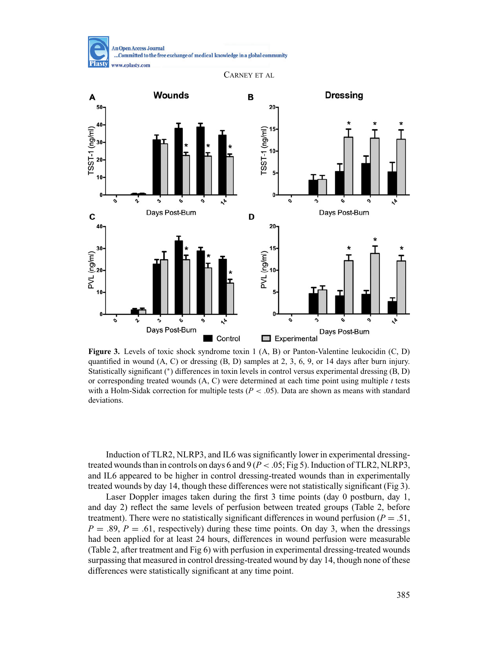**An Open Access Journal** ...Committed to the free exchange of medical knowledge in a global community **Plasty** www.eplasty.com

CARNEY ET AL



**Figure 3.** Levels of toxic shock syndrome toxin 1 (A, B) or Panton-Valentine leukocidin (C, D) quantified in wound  $(A, C)$  or dressing  $(B, D)$  samples at 2, 3, 6, 9, or 14 days after burn injury. Statistically significant (∗) differences in toxin levels in control versus experimental dressing (B, D) or corresponding treated wounds (A, C) were determined at each time point using multiple *t* tests with a Holm-Sidak correction for multiple tests ( $P < .05$ ). Data are shown as means with standard deviations.

Induction of TLR2, NLRP3, and IL6 was significantly lower in experimental dressingtreated wounds than in controls on days 6 and 9 ( $P < .05$ ; Fig 5). Induction of TLR2, NLRP3, and IL6 appeared to be higher in control dressing-treated wounds than in experimentally treated wounds by day 14, though these differences were not statistically significant (Fig 3).

Laser Doppler images taken during the first 3 time points (day 0 postburn, day 1, and day 2) reflect the same levels of perfusion between treated groups (Table 2, before treatment). There were no statistically significant differences in wound perfusion ( $P = .51$ ,  $P = .89$ ,  $P = .61$ , respectively) during these time points. On day 3, when the dressings had been applied for at least 24 hours, differences in wound perfusion were measurable (Table 2, after treatment and Fig 6) with perfusion in experimental dressing-treated wounds surpassing that measured in control dressing-treated wound by day 14, though none of these differences were statistically significant at any time point.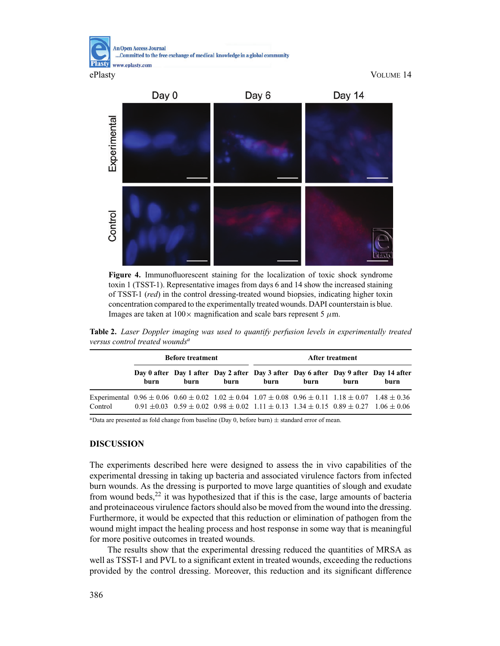**An Open Access Journal** ...Committed to the free exchange of medical knowledge in a global community Plasty www.eplasty.com

ePlasty VOLUME 14



**Figure 4.** Immunofluorescent staining for the localization of toxic shock syndrome toxin 1 (TSST-1). Representative images from days 6 and 14 show the increased staining of TSST-1 (*red*) in the control dressing-treated wound biopsies, indicating higher toxin concentration compared to the experimentally treated wounds. DAPI counterstain is blue. Images are taken at  $100 \times$  magnification and scale bars represent 5  $\mu$ m.

**Table 2.** *Laser Doppler imaging was used to quantify perfusion levels in experimentally treated versus control treated wounds<sup>a</sup>*

|                                                                                                                                         | <b>Before treatment</b> |      |      | After treatment |      |      |                                                                                                                 |
|-----------------------------------------------------------------------------------------------------------------------------------------|-------------------------|------|------|-----------------|------|------|-----------------------------------------------------------------------------------------------------------------|
|                                                                                                                                         | burn                    | burn | burn | burn            | hurn | burn | Day 0 after Day 1 after Day 2 after Day 3 after Day 6 after Day 9 after Day 14 after<br>burn                    |
| Experimental $0.96 \pm 0.06$ $0.60 \pm 0.02$ $1.02 \pm 0.04$ $1.07 \pm 0.08$ $0.96 \pm 0.11$ $1.18 \pm 0.07$ $1.48 \pm 0.36$<br>Control |                         |      |      |                 |      |      | $0.91 \pm 0.03$ $0.59 \pm 0.02$ $0.98 \pm 0.02$ $1.11 \pm 0.13$ $1.34 \pm 0.15$ $0.89 \pm 0.27$ $1.06 \pm 0.06$ |

<sup>a</sup>Data are presented as fold change from baseline (Day 0, before burn)  $\pm$  standard error of mean.

## **DISCUSSION**

The experiments described here were designed to assess the in vivo capabilities of the experimental dressing in taking up bacteria and associated virulence factors from infected burn wounds. As the dressing is purported to move large quantities of slough and exudate from wound beds, $^{22}$  it was hypothesized that if this is the case, large amounts of bacteria and proteinaceous virulence factors should also be moved from the wound into the dressing. Furthermore, it would be expected that this reduction or elimination of pathogen from the wound might impact the healing process and host response in some way that is meaningful for more positive outcomes in treated wounds.

The results show that the experimental dressing reduced the quantities of MRSA as well as TSST-1 and PVL to a significant extent in treated wounds, exceeding the reductions provided by the control dressing. Moreover, this reduction and its significant difference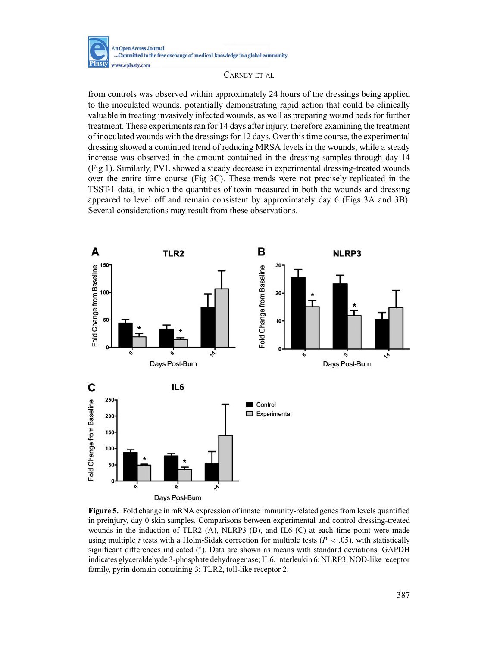

from controls was observed within approximately 24 hours of the dressings being applied to the inoculated wounds, potentially demonstrating rapid action that could be clinically valuable in treating invasively infected wounds, as well as preparing wound beds for further treatment. These experiments ran for 14 days after injury, therefore examining the treatment of inoculated wounds with the dressings for 12 days. Over this time course, the experimental dressing showed a continued trend of reducing MRSA levels in the wounds, while a steady increase was observed in the amount contained in the dressing samples through day 14 (Fig 1). Similarly, PVL showed a steady decrease in experimental dressing-treated wounds over the entire time course (Fig 3C). These trends were not precisely replicated in the TSST-1 data, in which the quantities of toxin measured in both the wounds and dressing appeared to level off and remain consistent by approximately day 6 (Figs 3A and 3B). Several considerations may result from these observations.



**Figure 5.** Fold change in mRNA expression of innate immunity-related genes from levels quantified in preinjury, day 0 skin samples. Comparisons between experimental and control dressing-treated wounds in the induction of TLR2 (A), NLRP3 (B), and IL6 (C) at each time point were made using multiple *t* tests with a Holm-Sidak correction for multiple tests ( $P < .05$ ), with statistically significant differences indicated (\*). Data are shown as means with standard deviations. GAPDH indicates glyceraldehyde 3-phosphate dehydrogenase; IL6, interleukin 6; NLRP3, NOD-like receptor family, pyrin domain containing 3; TLR2, toll-like receptor 2.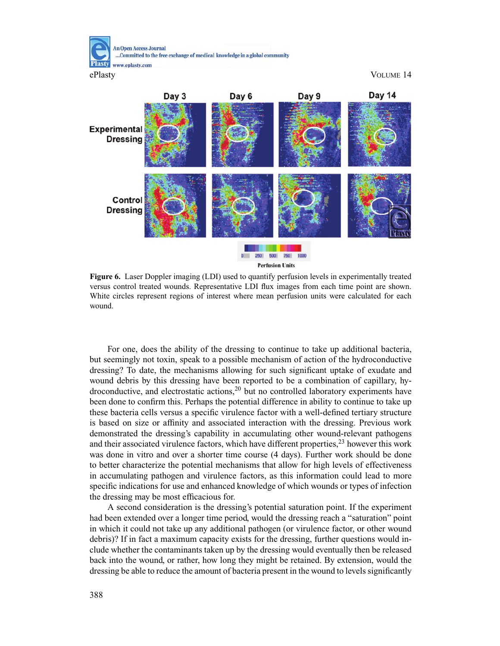**An Open Access Journal** ...Committed to the free exchange of medical knowledge in a global community Plastv www.eplasty.com

ePlasty VOLUME 14



**Figure 6.** Laser Doppler imaging (LDI) used to quantify perfusion levels in experimentally treated versus control treated wounds. Representative LDI flux images from each time point are shown. White circles represent regions of interest where mean perfusion units were calculated for each wound.

For one, does the ability of the dressing to continue to take up additional bacteria, but seemingly not toxin, speak to a possible mechanism of action of the hydroconductive dressing? To date, the mechanisms allowing for such significant uptake of exudate and wound debris by this dressing have been reported to be a combination of capillary, hydroconductive, and electrostatic actions, $2<sup>0</sup>$  but no controlled laboratory experiments have been done to confirm this. Perhaps the potential difference in ability to continue to take up these bacteria cells versus a specific virulence factor with a well-defined tertiary structure is based on size or affinity and associated interaction with the dressing. Previous work demonstrated the dressing's capability in accumulating other wound-relevant pathogens and their associated virulence factors, which have different properties,<sup>23</sup> however this work was done in vitro and over a shorter time course (4 days). Further work should be done to better characterize the potential mechanisms that allow for high levels of effectiveness in accumulating pathogen and virulence factors, as this information could lead to more specific indications for use and enhanced knowledge of which wounds or types of infection the dressing may be most efficacious for.

A second consideration is the dressing's potential saturation point. If the experiment had been extended over a longer time period, would the dressing reach a "saturation" point in which it could not take up any additional pathogen (or virulence factor, or other wound debris)? If in fact a maximum capacity exists for the dressing, further questions would include whether the contaminants taken up by the dressing would eventually then be released back into the wound, or rather, how long they might be retained. By extension, would the dressing be able to reduce the amount of bacteria present in the wound to levels significantly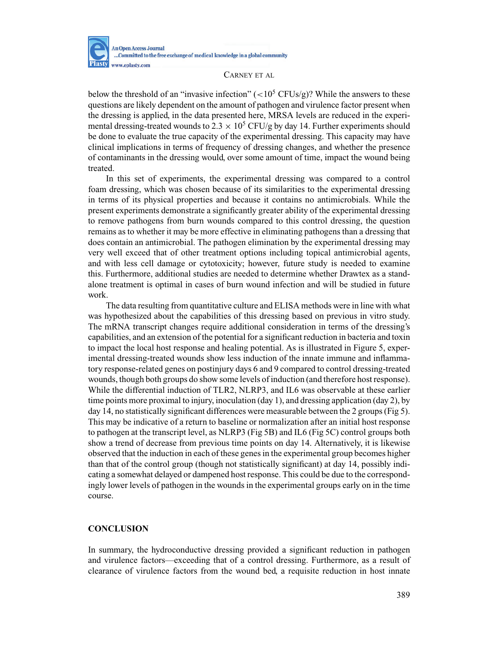

below the threshold of an "invasive infection"  $(<10^5 \text{ CFUs/g})$ ? While the answers to these questions are likely dependent on the amount of pathogen and virulence factor present when the dressing is applied, in the data presented here, MRSA levels are reduced in the experimental dressing-treated wounds to  $2.3 \times 10^5$  CFU/g by day 14. Further experiments should be done to evaluate the true capacity of the experimental dressing. This capacity may have clinical implications in terms of frequency of dressing changes, and whether the presence of contaminants in the dressing would, over some amount of time, impact the wound being treated.

In this set of experiments, the experimental dressing was compared to a control foam dressing, which was chosen because of its similarities to the experimental dressing in terms of its physical properties and because it contains no antimicrobials. While the present experiments demonstrate a significantly greater ability of the experimental dressing to remove pathogens from burn wounds compared to this control dressing, the question remains as to whether it may be more effective in eliminating pathogens than a dressing that does contain an antimicrobial. The pathogen elimination by the experimental dressing may very well exceed that of other treatment options including topical antimicrobial agents, and with less cell damage or cytotoxicity; however, future study is needed to examine this. Furthermore, additional studies are needed to determine whether Drawtex as a standalone treatment is optimal in cases of burn wound infection and will be studied in future work.

The data resulting from quantitative culture and ELISA methods were in line with what was hypothesized about the capabilities of this dressing based on previous in vitro study. The mRNA transcript changes require additional consideration in terms of the dressing's capabilities, and an extension of the potential for a significant reduction in bacteria and toxin to impact the local host response and healing potential. As is illustrated in Figure 5, experimental dressing-treated wounds show less induction of the innate immune and inflammatory response-related genes on postinjury days 6 and 9 compared to control dressing-treated wounds, though both groups do show some levels of induction (and therefore host response). While the differential induction of TLR2, NLRP3, and IL6 was observable at these earlier time points more proximal to injury, inoculation (day 1), and dressing application (day 2), by day 14, no statistically significant differences were measurable between the 2 groups (Fig 5). This may be indicative of a return to baseline or normalization after an initial host response to pathogen at the transcript level, as NLRP3 (Fig 5B) and IL6 (Fig 5C) control groups both show a trend of decrease from previous time points on day 14. Alternatively, it is likewise observed that the induction in each of these genes in the experimental group becomes higher than that of the control group (though not statistically significant) at day 14, possibly indicating a somewhat delayed or dampened host response. This could be due to the correspondingly lower levels of pathogen in the wounds in the experimental groups early on in the time course.

## **CONCLUSION**

In summary, the hydroconductive dressing provided a significant reduction in pathogen and virulence factors—exceeding that of a control dressing. Furthermore, as a result of clearance of virulence factors from the wound bed, a requisite reduction in host innate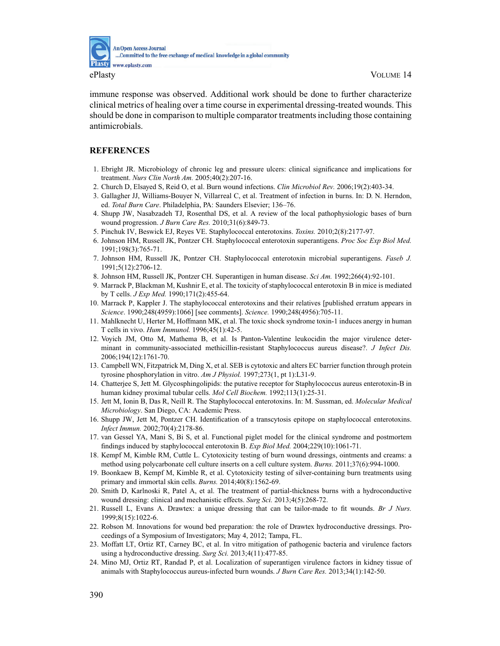

immune response was observed. Additional work should be done to further characterize clinical metrics of healing over a time course in experimental dressing-treated wounds. This should be done in comparison to multiple comparator treatments including those containing antimicrobials.

## **REFERENCES**

- 1. Ebright JR. Microbiology of chronic leg and pressure ulcers: clinical significance and implications for treatment. *Nurs Clin North Am.* 2005;40(2):207-16.
- 2. Church D, Elsayed S, Reid O, et al. Burn wound infections. *Clin Microbiol Rev.* 2006;19(2):403-34.
- 3. Gallagher JJ, Williams-Bouyer N, Villarreal C, et al. Treatment of infection in burns. In: D. N. Herndon, ed. *Total Burn Care*. Philadelphia, PA: Saunders Elsevier; 136–76.
- 4. Shupp JW, Nasabzadeh TJ, Rosenthal DS, et al. A review of the local pathophysiologic bases of burn wound progression. *J Burn Care Res.* 2010;31(6):849-73.
- 5. Pinchuk IV, Beswick EJ, Reyes VE. Staphylococcal enterotoxins. *Toxins.* 2010;2(8):2177-97.
- 6. Johnson HM, Russell JK, Pontzer CH. Staphylococcal enterotoxin superantigens. *Proc Soc Exp Biol Med.* 1991;198(3):765-71.
- 7. Johnson HM, Russell JK, Pontzer CH. Staphylococcal enterotoxin microbial superantigens. *Faseb J.* 1991;5(12):2706-12.
- 8. Johnson HM, Russell JK, Pontzer CH. Superantigen in human disease. *Sci Am.* 1992;266(4):92-101.
- 9. Marrack P, Blackman M, Kushnir E, et al. The toxicity of staphylococcal enterotoxin B in mice is mediated by T cells. *J Exp Med.* 1990;171(2):455-64.
- 10. Marrack P, Kappler J. The staphylococcal enterotoxins and their relatives [published erratum appears in *Science*. 1990;248(4959):1066] [see comments]. *Science.* 1990;248(4956):705-11.
- 11. Mahlknecht U, Herter M, Hoffmann MK, et al. The toxic shock syndrome toxin-1 induces anergy in human T cells in vivo. *Hum Immunol.* 1996;45(1):42-5.
- 12. Voyich JM, Otto M, Mathema B, et al. Is Panton-Valentine leukocidin the major virulence determinant in community-associated methicillin-resistant Staphylococcus aureus disease?. *J Infect Dis.* 2006;194(12):1761-70.
- 13. Campbell WN, Fitzpatrick M, Ding X, et al. SEB is cytotoxic and alters EC barrier function through protein tyrosine phosphorylation in vitro. *Am J Physiol.* 1997;273(1, pt 1):L31-9.
- 14. Chatterjee S, Jett M. Glycosphingolipids: the putative receptor for Staphylococcus aureus enterotoxin-B in human kidney proximal tubular cells. *Mol Cell Biochem.* 1992;113(1):25-31.
- 15. Jett M, Ionin B, Das R, Neill R. The Staphylococcal enterotoxins. In: M. Sussman, ed. *Molecular Medical Microbiology*. San Diego, CA: Academic Press.
- 16. Shupp JW, Jett M, Pontzer CH. Identification of a transcytosis epitope on staphylococcal enterotoxins. *Infect Immun.* 2002;70(4):2178-86.
- 17. van Gessel YA, Mani S, Bi S, et al. Functional piglet model for the clinical syndrome and postmortem findings induced by staphylococcal enterotoxin B. *Exp Biol Med.* 2004;229(10):1061-71.
- 18. Kempf M, Kimble RM, Cuttle L. Cytotoxicity testing of burn wound dressings, ointments and creams: a method using polycarbonate cell culture inserts on a cell culture system. *Burns.* 2011;37(6):994-1000.
- 19. Boonkaew B, Kempf M, Kimble R, et al. Cytotoxicity testing of silver-containing burn treatments using primary and immortal skin cells. *Burns.* 2014;40(8):1562-69.
- 20. Smith D, Karlnoski R, Patel A, et al. The treatment of partial-thickness burns with a hydroconductive wound dressing: clinical and mechanistic effects. *Surg Sci.* 2013;4(5):268-72.
- 21. Russell L, Evans A. Drawtex: a unique dressing that can be tailor-made to fit wounds. *Br J Nurs.* 1999;8(15):1022-6.
- 22. Robson M. Innovations for wound bed preparation: the role of Drawtex hydroconductive dressings. Proceedings of a Symposium of Investigators; May 4, 2012; Tampa, FL.
- 23. Moffatt LT, Ortiz RT, Carney BC, et al. In vitro mitigation of pathogenic bacteria and virulence factors using a hydroconductive dressing. *Surg Sci.* 2013;4(11):477-85.
- 24. Mino MJ, Ortiz RT, Randad P, et al. Localization of superantigen virulence factors in kidney tissue of animals with Staphylococcus aureus-infected burn wounds. *J Burn Care Res.* 2013;34(1):142-50.